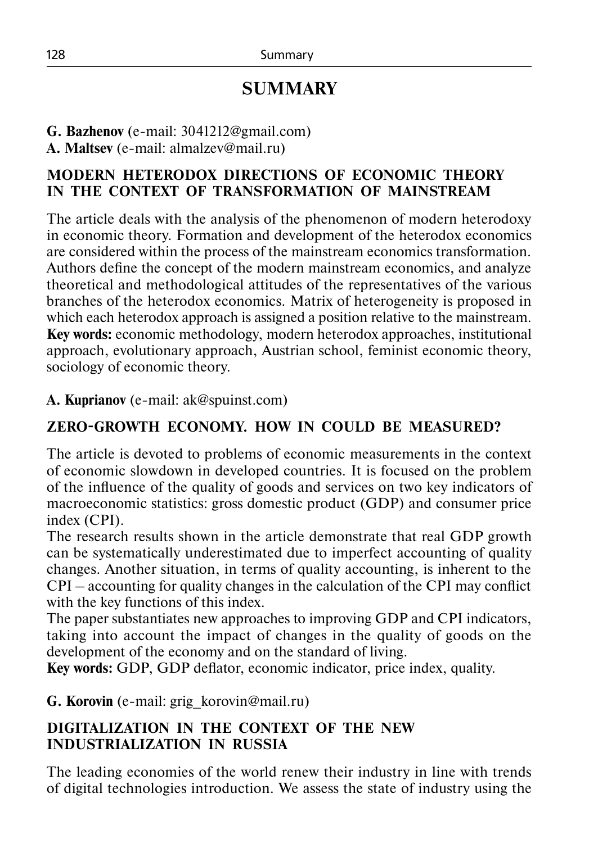# **SUMMARY**

**G. Bazhenov** (e-mail: 3041212@gmail.com)

**A. Maltsev** (e-mail: almalzev@mail.ru)

#### **MODERN HETERODOX DIRECTIONS OF ECONOMIC THEORY IN THE CONTEXT OF TRANSFORMATION OF MAINSTREAM**

The article deals with the analysis of the phenomenon of modern heterodoxy in economic theory. Formation and development of the heterodox economics are considered within the process of the mainstream economics transformation. Authors define the concept of the modern mainstream economics, and analyze theoretical and methodological attitudes of the representatives of the various branches of the heterodox economics. Matrix of heterogeneity is proposed in which each heterodox approach is assigned a position relative to the mainstream. **Key words:** economic methodology, modern heterodox approaches, institutional approach, evolutionary approach, Austrian school, feminist economic theory, sociology of economic theory.

**A. Kuprianov** (e-mail: ak@spuinst.com)

# **ZERO-GROWTH ECONOMY. HOW IN COULD BE MEASURED?**

The article is devoted to problems of economic measurements in the context of economic slowdown in developed countries. It is focused on the problem of the influence of the quality of goods and services on two key indicators of macroeconomic statistics: gross domestic product (GDP) and consumer price index (CPI).

The research results shown in the article demonstrate that real GDP growth can be systematically underestimated due to imperfect accounting of quality changes. Another situation, in terms of quality accounting, is inherent to the CPI – accounting for quality changes in the calculation of the CPI may conflict with the key functions of this index.

The paper substantiates new approaches to improving GDP and CPI indicators, taking into account the impact of changes in the quality of goods on the development of the economy and on the standard of living.

**Key words:** GDP, GDP deflator, economic indicator, price index, quality.

**G. Korovin** (e-mail: grig\_korovin@mail.ru)

### **DIGITALIZATION IN THE CONTEXT OF THE NEW INDUSTRIALIZATION IN RUSSIA**

The leading economies of the world renew their industry in line with trends of digital technologies introduction. We assess the state of industry using the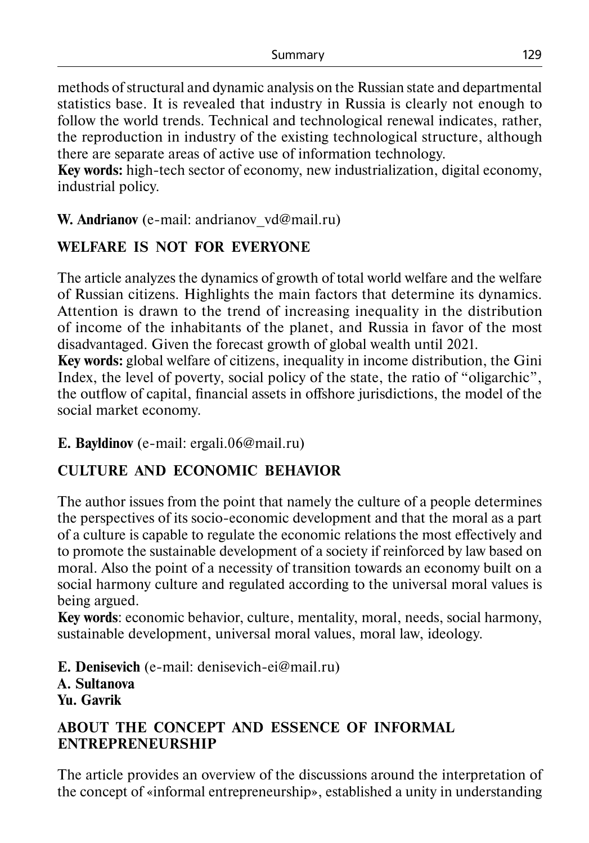methods of structural and dynamic analysis on the Russian state and departmental statistics base. It is revealed that industry in Russia is clearly not enough to follow the world trends. Technical and technological renewal indicates, rather, the reproduction in industry of the existing technological structure, although there are separate areas of active use of information technology.

**Key words:** high-tech sector of economy, new industrialization, digital economy, industrial policy.

**W.** Andrianov (e-mail: andrianov vd@mail.ru)

## **WELFARE IS NOT FOR EVERYONE**

The article analyzes the dynamics of growth of total world welfare and the welfare of Russian citizens. Highlights the main factors that determine its dynamics. Attention is drawn to the trend of increasing inequality in the distribution of income of the inhabitants of the planet, and Russia in favor of the most disadvantaged. Given the forecast growth of global wealth until 2021.

**Key words:** global welfare of citizens, inequality in income distribution, the Gini Index, the level of poverty, social policy of the state, the ratio of "oligarchic", the outflow of capital, financial assets in offshore jurisdictions, the model of the social market economy.

#### **E. Bayldinov** (е-mail: ergali.06@mail.ru)

# **CULTURE AND ECONOMIC BEHAVIOR**

The author issues from the point that namely the culture of a people determines the perspectives of its socio-economic development and that the moral as a part of a culture is capable to regulate the economic relations the most effectively and to promote the sustainable development of a society if reinforced by law based on moral. Also the point of a necessity of transition towards an economy built on a social harmony culture and regulated according to the universal moral values is being argued.

**Key words**: economic behavior, culture, mentality, moral, needs, social harmony, sustainable development, universal moral values, moral law, ideology.

**E. Denisevich** (e-mail: denisevich-ei@mail.ru) **А. Sultanova Yu. Gavrik**

#### **ABOUT THE CONCEPT AND ESSENCE OF INFORMAL ENTREPRENEURSHIP**

The article provides an overview of the discussions around the interpretation of the concept of «informal entrepreneurship», established a unity in understanding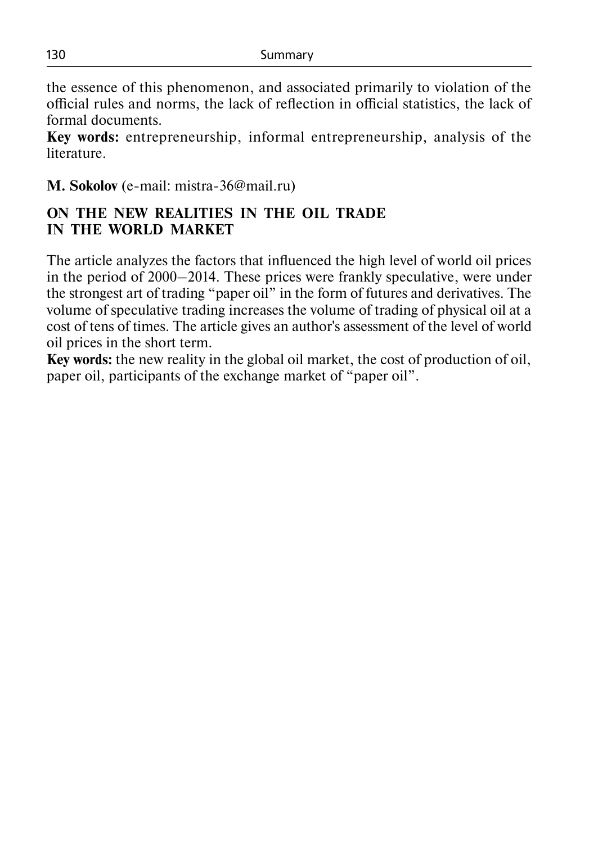the essence of this phenomenon, and associated primarily to violation of the official rules and norms, the lack of reflection in official statistics, the lack of formal documents.

**Key words:** entrepreneurship, informal entrepreneurship, analysis of the literature.

**M. Sokolov** (e-mail: mistra-36@mail.ru)

#### **ON THE NEW REALITIES IN THE OIL TRADE IN THE WORLD MARKET**

The article analyzes the factors that influenced the high level of world oil prices in the period of 2000–2014. These prices were frankly speculative, were under the strongest art of trading "paper oil" in the form of futures and derivatives. The volume of speculative trading increases the volume of trading of physical oil at a cost of tens of times. The article gives an author's assessment of the level of world oil prices in the short term.

**Key words:** the new reality in the global oil market, the cost of production of oil, paper oil, participants of the exchange market of "paper oil".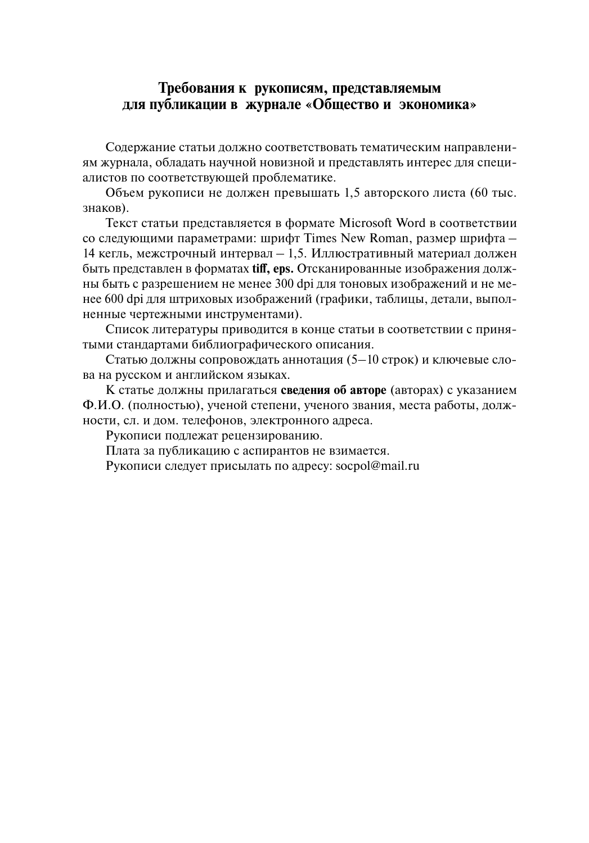#### **Требования к рукописям, представляемым для публикации в журнале «Общество и экономика»**

Содержание статьи должно соответствовать тематическим направлениям журнала, обладать научной новизной и представлять интерес для специалистов по соответствующей проблематике.

Объем рукописи не должен превышать 1,5 авторского листа (60 тыс. знаков).

Текст статьи представляется в формате Microsoft Word в соответствии со следующими параметрами: шрифт Times New Roman, размер шрифта – 14 кегль, межстрочный интервал – 1,5. Иллюстративный материал должен быть представлен в форматах **tiff, еps.** Отсканированные изображения должны быть с разрешением не менее 300 dpi для тоновых изображений и не менее 600 dpi для штриховых изображений (графики, таблицы, детали, выполненные чертежными инструментами).

Список литературы приводится в конце статьи в соответствии с принятыми стандартами библиографического описания.

Статью должны сопровождать аннотация (5–10 строк) и ключевые слова на русском и английском языках.

К статье должны прилагаться **сведения об авторе** (авторах) с указанием Ф.И.О. (полностью), ученой степени, ученого звания, места работы, должности, сл. и дом. телефонов, электронного адреса.

Рукописи подлежат рецензированию.

Плата за публикацию с аспирантов не взимается.

Рукописи следует присылать по адресу: socpol@mail.ru